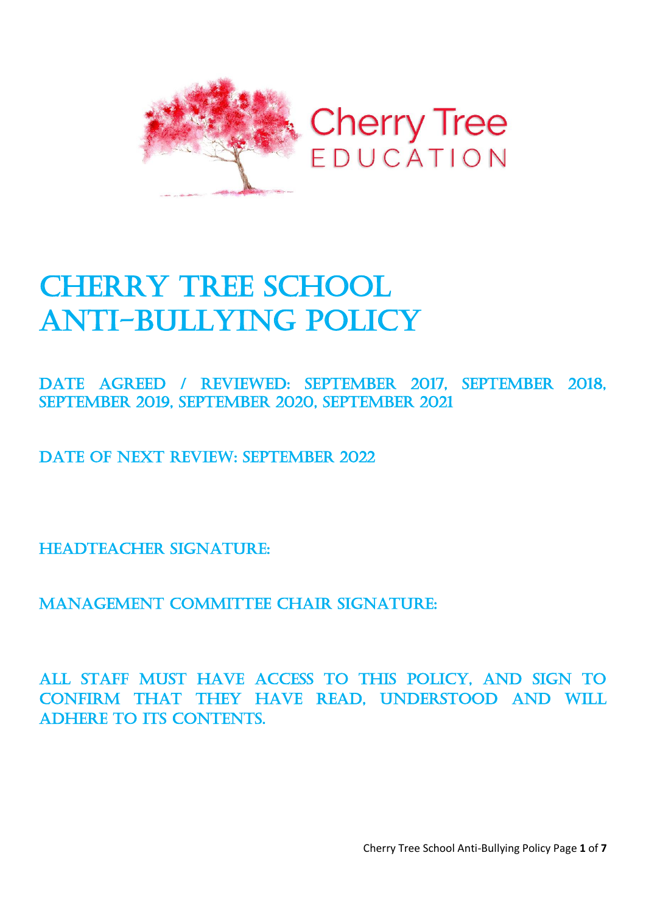

# **CHERRY TREE SCHOOL** Anti-bullying Policy

Date Agreed / REVIEWED: September 2017, September 2018, September 2019, September 2020, September 2021

DATE OF NEXT REVIEW: SEPTEMBER 2022

HEADTEACHER SIGNATURE:

Management Committee Chair signature:

All staff must have access to this policy, and sign to confirm that they have read, understood and will ADHERE TO ITS CONTENTS.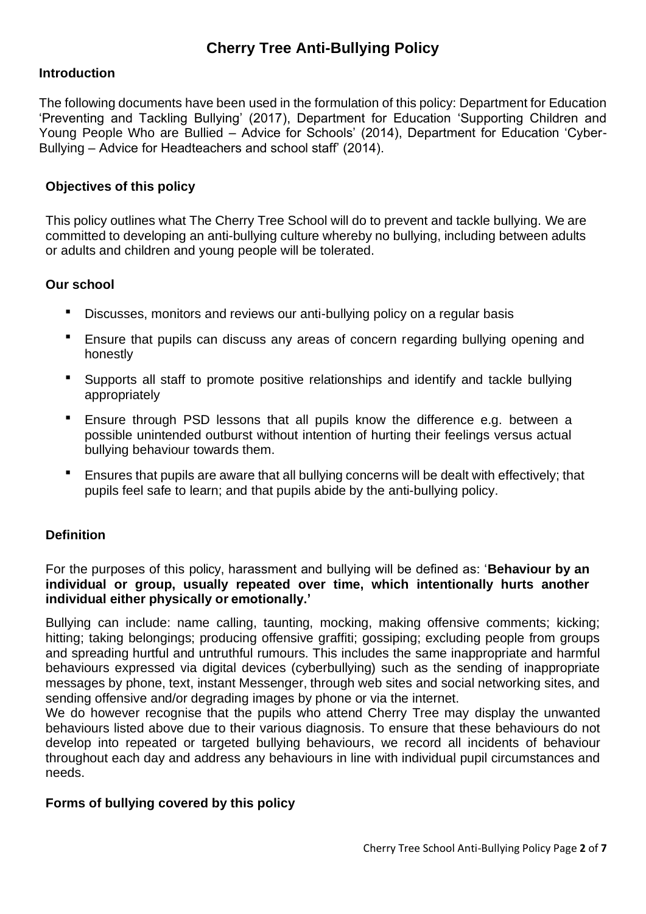# **Cherry Tree Anti-Bullying Policy**

#### **Introduction**

The following documents have been used in the formulation of this policy: Department for Education 'Preventing and Tackling Bullying' (2017), Department for Education 'Supporting Children and Young People Who are Bullied – Advice for Schools' (2014), Department for Education 'Cyber-Bullying – Advice for Headteachers and school staff' (2014).

#### **Objectives of this policy**

This policy outlines what The Cherry Tree School will do to prevent and tackle bullying. We are committed to developing an anti-bullying culture whereby no bullying, including between adults or adults and children and young people will be tolerated.

#### **Our school**

- Discusses, monitors and reviews our anti-bullying policy on a regular basis
- Ensure that pupils can discuss any areas of concern regarding bullying opening and honestly
- Supports all staff to promote positive relationships and identify and tackle bullying appropriately
- Ensure through PSD lessons that all pupils know the difference e.g. between a possible unintended outburst without intention of hurting their feelings versus actual bullying behaviour towards them.
- **E** Ensures that pupils are aware that all bullying concerns will be dealt with effectively; that pupils feel safe to learn; and that pupils abide by the anti-bullying policy.

#### **Definition**

For the purposes of this policy, harassment and bullying will be defined as: '**Behaviour by an individual or group, usually repeated over time, which intentionally hurts another individual either physically or emotionally.'**

Bullying can include: name calling, taunting, mocking, making offensive comments; kicking; hitting; taking belongings; producing offensive graffiti; gossiping; excluding people from groups and spreading hurtful and untruthful rumours. This includes the same inappropriate and harmful behaviours expressed via digital devices (cyberbullying) such as the sending of inappropriate messages by phone, text, instant Messenger, through web sites and social networking sites, and sending offensive and/or degrading images by phone or via the internet.

We do however recognise that the pupils who attend Cherry Tree may display the unwanted behaviours listed above due to their various diagnosis. To ensure that these behaviours do not develop into repeated or targeted bullying behaviours, we record all incidents of behaviour throughout each day and address any behaviours in line with individual pupil circumstances and needs.

#### **Forms of bullying covered by this policy**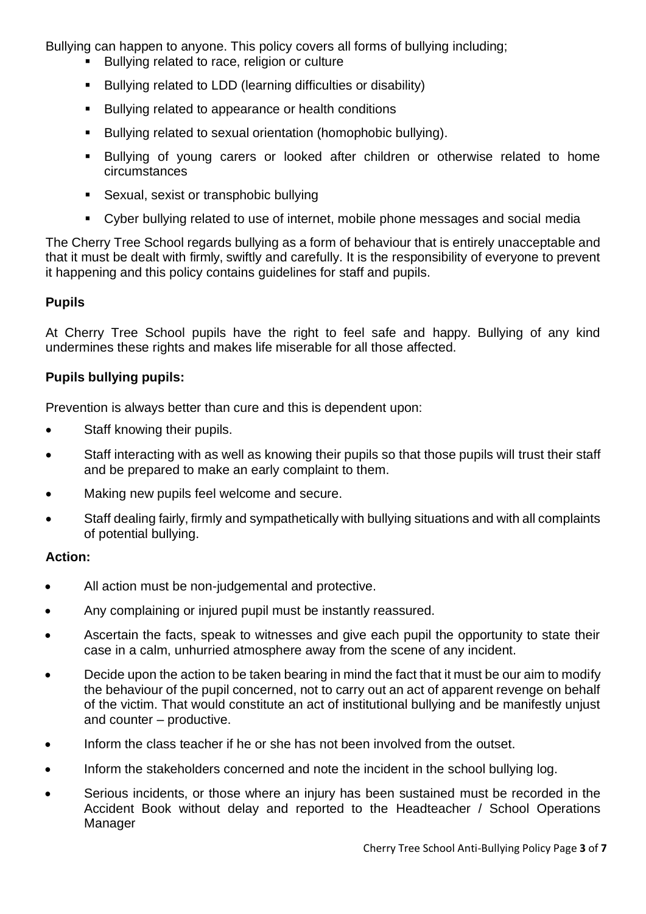Bullying can happen to anyone. This policy covers all forms of bullying including;

- Bullying related to race, religion or culture
- Bullying related to LDD (learning difficulties or disability)
- Bullying related to appearance or health conditions
- Bullying related to sexual orientation (homophobic bullying).
- Bullying of young carers or looked after children or otherwise related to home circumstances
- Sexual, sexist or transphobic bullying
- Cyber bullying related to use of internet, mobile phone messages and social media

The Cherry Tree School regards bullying as a form of behaviour that is entirely unacceptable and that it must be dealt with firmly, swiftly and carefully. It is the responsibility of everyone to prevent it happening and this policy contains guidelines for staff and pupils.

#### **Pupils**

At Cherry Tree School pupils have the right to feel safe and happy. Bullying of any kind undermines these rights and makes life miserable for all those affected.

#### **Pupils bullying pupils:**

Prevention is always better than cure and this is dependent upon:

- Staff knowing their pupils.
- Staff interacting with as well as knowing their pupils so that those pupils will trust their staff and be prepared to make an early complaint to them.
- Making new pupils feel welcome and secure.
- Staff dealing fairly, firmly and sympathetically with bullying situations and with all complaints of potential bullying.

#### **Action:**

- All action must be non-judgemental and protective.
- Any complaining or injured pupil must be instantly reassured.
- Ascertain the facts, speak to witnesses and give each pupil the opportunity to state their case in a calm, unhurried atmosphere away from the scene of any incident.
- Decide upon the action to be taken bearing in mind the fact that it must be our aim to modify the behaviour of the pupil concerned, not to carry out an act of apparent revenge on behalf of the victim. That would constitute an act of institutional bullying and be manifestly unjust and counter – productive.
- Inform the class teacher if he or she has not been involved from the outset.
- Inform the stakeholders concerned and note the incident in the school bullying log.
- Serious incidents, or those where an injury has been sustained must be recorded in the Accident Book without delay and reported to the Headteacher / School Operations Manager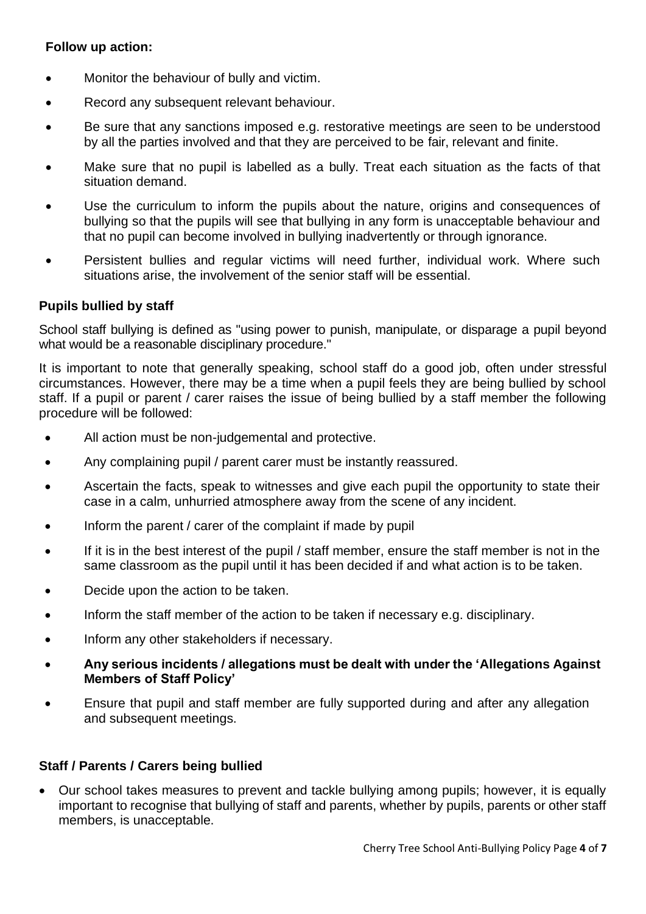#### **Follow up action:**

- Monitor the behaviour of bully and victim.
- Record any subsequent relevant behaviour.
- Be sure that any sanctions imposed e.g. restorative meetings are seen to be understood by all the parties involved and that they are perceived to be fair, relevant and finite.
- Make sure that no pupil is labelled as a bully. Treat each situation as the facts of that situation demand.
- Use the curriculum to inform the pupils about the nature, origins and consequences of bullying so that the pupils will see that bullying in any form is unacceptable behaviour and that no pupil can become involved in bullying inadvertently or through ignorance.
- Persistent bullies and regular victims will need further, individual work. Where such situations arise, the involvement of the senior staff will be essential.

#### **Pupils bullied by staff**

School staff bullying is defined as "using power to punish, manipulate, or disparage a pupil beyond what would be a reasonable disciplinary procedure."

It is important to note that generally speaking, school staff do a good job, often under stressful circumstances. However, there may be a time when a pupil feels they are being bullied by school staff. If a pupil or parent / carer raises the issue of being bullied by a staff member the following procedure will be followed:

- All action must be non-judgemental and protective.
- Any complaining pupil / parent carer must be instantly reassured.
- Ascertain the facts, speak to witnesses and give each pupil the opportunity to state their case in a calm, unhurried atmosphere away from the scene of any incident.
- Inform the parent / carer of the complaint if made by pupil
- If it is in the best interest of the pupil / staff member, ensure the staff member is not in the same classroom as the pupil until it has been decided if and what action is to be taken.
- Decide upon the action to be taken.
- Inform the staff member of the action to be taken if necessary e.g. disciplinary.
- Inform any other stakeholders if necessary.
- **Any serious incidents / allegations must be dealt with under the 'Allegations Against Members of Staff Policy'**
- Ensure that pupil and staff member are fully supported during and after any allegation and subsequent meetings.

#### **Staff / Parents / Carers being bullied**

• Our school takes measures to prevent and tackle bullying among pupils; however, it is equally important to recognise that bullying of staff and parents, whether by pupils, parents or other staff members, is unacceptable.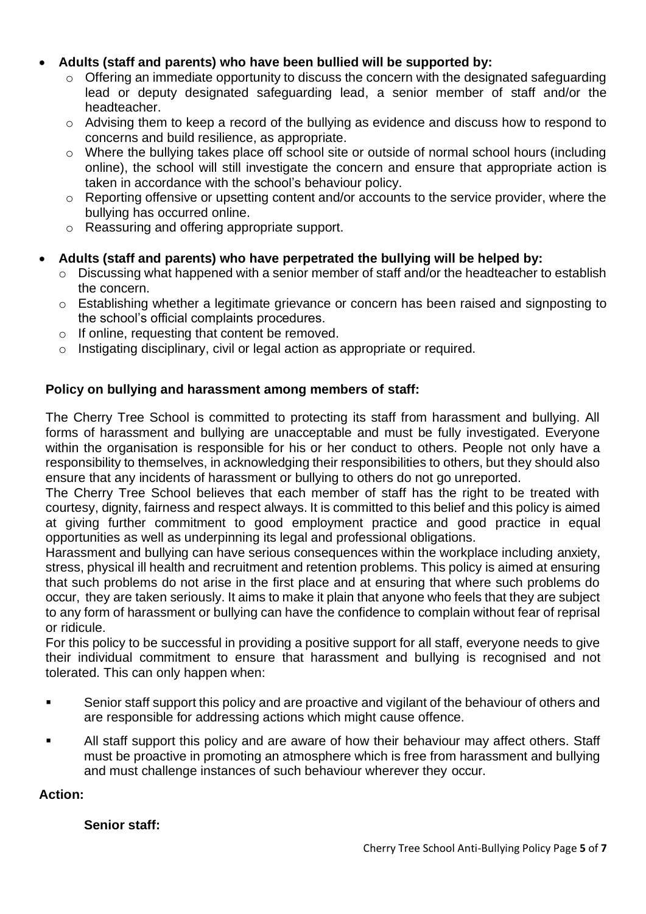#### • **Adults (staff and parents) who have been bullied will be supported by:**

- o Offering an immediate opportunity to discuss the concern with the designated safeguarding lead or deputy designated safeguarding lead, a senior member of staff and/or the headteacher.
- o Advising them to keep a record of the bullying as evidence and discuss how to respond to concerns and build resilience, as appropriate.
- o Where the bullying takes place off school site or outside of normal school hours (including online), the school will still investigate the concern and ensure that appropriate action is taken in accordance with the school's behaviour policy.
- o Reporting offensive or upsetting content and/or accounts to the service provider, where the bullying has occurred online.
- o Reassuring and offering appropriate support.

### • **Adults (staff and parents) who have perpetrated the bullying will be helped by:**

- o Discussing what happened with a senior member of staff and/or the headteacher to establish the concern.
- o Establishing whether a legitimate grievance or concern has been raised and signposting to the school's official complaints procedures.
- o If online, requesting that content be removed.
- o Instigating disciplinary, civil or legal action as appropriate or required.

#### **Policy on bullying and harassment among members of staff:**

The Cherry Tree School is committed to protecting its staff from harassment and bullying. All forms of harassment and bullying are unacceptable and must be fully investigated. Everyone within the organisation is responsible for his or her conduct to others. People not only have a responsibility to themselves, in acknowledging their responsibilities to others, but they should also ensure that any incidents of harassment or bullying to others do not go unreported.

The Cherry Tree School believes that each member of staff has the right to be treated with courtesy, dignity, fairness and respect always. It is committed to this belief and this policy is aimed at giving further commitment to good employment practice and good practice in equal opportunities as well as underpinning its legal and professional obligations.

Harassment and bullying can have serious consequences within the workplace including anxiety, stress, physical ill health and recruitment and retention problems. This policy is aimed at ensuring that such problems do not arise in the first place and at ensuring that where such problems do occur, they are taken seriously. It aims to make it plain that anyone who feels that they are subject to any form of harassment or bullying can have the confidence to complain without fear of reprisal or ridicule.

For this policy to be successful in providing a positive support for all staff, everyone needs to give their individual commitment to ensure that harassment and bullying is recognised and not tolerated. This can only happen when:

- Senior staff support this policy and are proactive and vigilant of the behaviour of others and are responsible for addressing actions which might cause offence.
- All staff support this policy and are aware of how their behaviour may affect others. Staff must be proactive in promoting an atmosphere which is free from harassment and bullying and must challenge instances of such behaviour wherever they occur.

## **Action:**

**Senior staff:**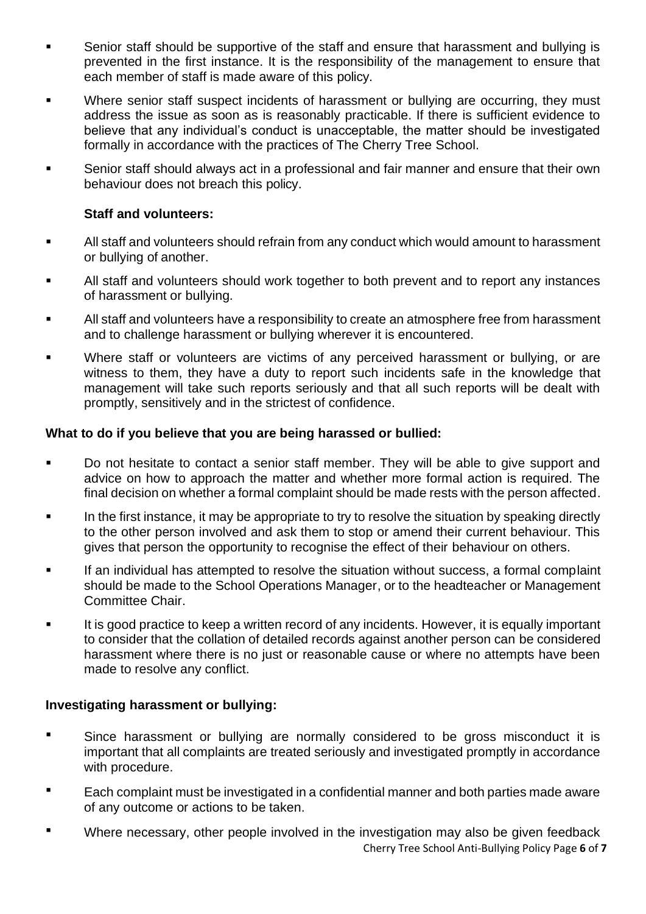- Senior staff should be supportive of the staff and ensure that harassment and bullying is prevented in the first instance. It is the responsibility of the management to ensure that each member of staff is made aware of this policy.
- Where senior staff suspect incidents of harassment or bullying are occurring, they must address the issue as soon as is reasonably practicable. If there is sufficient evidence to believe that any individual's conduct is unacceptable, the matter should be investigated formally in accordance with the practices of The Cherry Tree School.
- Senior staff should always act in a professional and fair manner and ensure that their own behaviour does not breach this policy.

#### **Staff and volunteers:**

- All staff and volunteers should refrain from any conduct which would amount to harassment or bullying of another.
- All staff and volunteers should work together to both prevent and to report any instances of harassment or bullying.
- **EXECT** All staff and volunteers have a responsibility to create an atmosphere free from harassment and to challenge harassment or bullying wherever it is encountered.
- Where staff or volunteers are victims of any perceived harassment or bullying, or are witness to them, they have a duty to report such incidents safe in the knowledge that management will take such reports seriously and that all such reports will be dealt with promptly, sensitively and in the strictest of confidence.

#### **What to do if you believe that you are being harassed or bullied:**

- Do not hesitate to contact a senior staff member. They will be able to give support and advice on how to approach the matter and whether more formal action is required. The final decision on whether a formal complaint should be made rests with the person affected.
- **•** In the first instance, it may be appropriate to try to resolve the situation by speaking directly to the other person involved and ask them to stop or amend their current behaviour. This gives that person the opportunity to recognise the effect of their behaviour on others.
- **EXECT** If an individual has attempted to resolve the situation without success, a formal complaint should be made to the School Operations Manager, or to the headteacher or Management Committee Chair.
- It is good practice to keep a written record of any incidents. However, it is equally important to consider that the collation of detailed records against another person can be considered harassment where there is no just or reasonable cause or where no attempts have been made to resolve any conflict.

#### **Investigating harassment or bullying:**

- **•** Since harassment or bullying are normally considered to be gross misconduct it is important that all complaints are treated seriously and investigated promptly in accordance with procedure.
- Each complaint must be investigated in a confidential manner and both parties made aware of any outcome or actions to be taken.
- Cherry Tree School Anti-Bullying Policy Page **6** of **7** Where necessary, other people involved in the investigation may also be given feedback